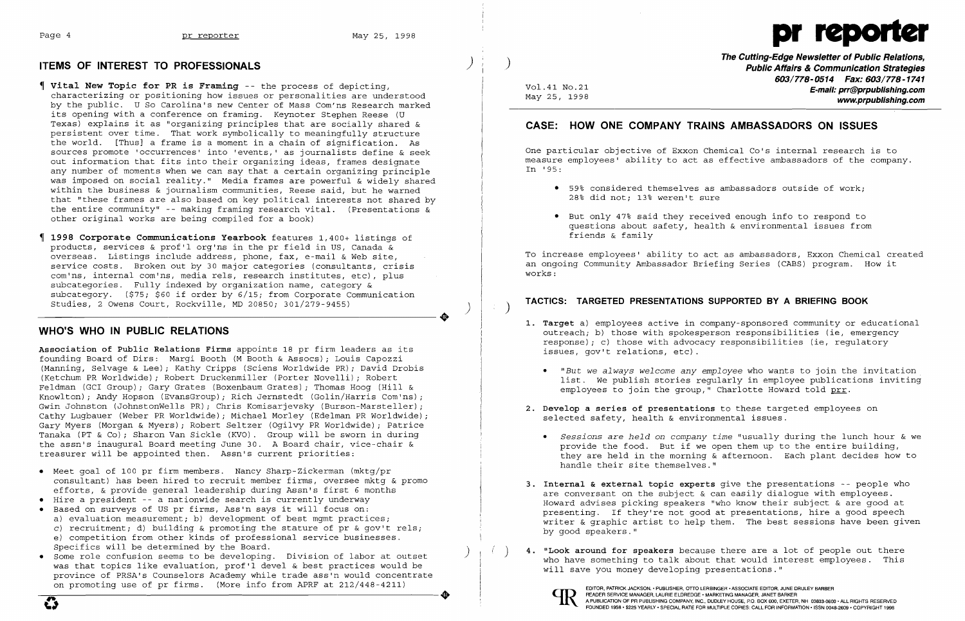

## **ITEMS OF INTEREST TO PROFESSIONALS**

- **Vital New Topic for PR is Framing** -- the process of depicting, characterizing or positioning how issues or personalities are understood by the public. U So Carolina's new Center of Mass Com'ns Research marked its opening with a conference on framing. Keynoter Stephen Reese (U Texas) explains it as "organizing principles that are socially shared & persistent over time. That work symbolically to meaningfully structure the world. [Thus] a frame is a moment in a chain of signification. As sources promote 'occurrences' into 'events,' as journalists define & seek out information that fits into their organizing ideas, frames designate any number of moments when we can say that a certain organizing principle was imposed on social reality." Media frames are powerful & widely shared within the business & journalism communities, Reese said, but he warned that "these frames are also based on key political interests not shared by the entire community" -- making framing research vital. (Presentations & other original works are being compiled for a book)
- **1998 Corporate Communications Yearbook** features 1,400+ listings of products, services & prof'l org'ns in the pr field in US, Canada & overseas. Listings include address, phone, fax, e-mail & Web site, service costs. Broken out by 30 major categories (consultants, crisis com'ns, internal com'ns, media rels, research institutes, etc), plus subcategories. Fully indexed by organization name, category & subcategory. (\$75; \$60 if order by 6/15; from Corporate Communication Studies, 2 Owens Court, Rockville, MD 20850; 301/279-9455)

- • Meet goal of 100 pr firm members. Nancy Sharp-Zickerman (mktg/pr consultant) has been hired to recruit member firms, oversee mktg & promo efforts, & provide general leadership during Assn's first 6 months
- • Hire a president -- a nationwide search is currently underway
- • Based on surveys of US pr firms, Ass'n says it will focus on: a) evaluation measurement; b) development of best mgmt practices; c) recruitment; d) building & promoting the stature of pr & qov't rels; e) competition from other kinds of professional service businesses. Specifics will be determined by the Board.
- • Some role confusion seems to be developing. Division of labor at outset was that topics like evaluation, prof'l devel & best practices would be province of PRSA's Counselors Academy while trade ass'n would concentrate on promoting use of pr firms. (More info from APRF at 212/448-4211)  $\overline{\mathbf{C}}$  $\overline{a}$

### **WHO'S WHO IN PUBLIC RELATIONS**

**The Cutting-Edge Newsletter of Public Relations, Public Affairs & Communication Strategies 603/778-0514 Fax: 603/778-1741 E-mail: prr@prpublishing.com**  www.prpublishing.com

**Association of Public Relations Firms** appoints 18 pr firm leaders as its founding Board of Dirs: Margi Booth (M Booth & Assocs); Louis Capozzi (Manning, Selvage & Lee); Kathy Cripps (Sciens Worldwide PR); David Drobis (Ketchum PR Worldwide); Robert Druckenmiller (Porter Novelli); Robert Feldman (GCI Group); Gary Grates (Boxenbaum Grates); Thomas Hoog (Hill & Knowlton); Andy Hopson (EvansGroup); Rich Jernstedt (Golin/Harris Com'ns) Gwin Johnston (JohnstonWells PR); Chris Komisarjevsky (Burson-Marsteller); Cathy Lugbauer (Weber PR Worldwide); Michael Morley (Edelman PR Worldwide); Gary Myers (Morgan & Myers) i Robert Seltzer (Ogilvy PR Worldwide) i Patrice Tanaka (PT & Co) i Sharon Van Sickle (KVO). Group will be sworn in during the assn's inaugural Board meeting June 30. A Board chair, vice-chair & treasurer will be appointed then. Assn's current priorities:

> **3. Internal & external topic experts** give the presentations -- people who are conversant on the subject & can easily dialogue with employees. Howard advises picking speakers "who know their subject & are good at presenting. If they're not good at presentations, hire a good speech writer & graphic artist to help them. The best sessions have been given

)

 $\big)$ 

.<br>ر

..

)

Vol.41 No.21 May 25, 1998

# **CASE: HOW ONE COMPANY TRAINS AMBASSADORS ON ISSUES**

One particular objective of Exxon Chemical Co's internal research is to measure employees' ability to act as effective ambassadors of the company. In '95:

- • 59% considered themselves as ambassadors outside of work; 28% did not; 13% weren't sure
- • But only 47% said they received enough info to respond to friends & family

questions about safety, health & environmental issues from

To increase employees' ability to act as ambassadors, Exxon Chemical created an ongoing Community Ambassador Briefing Series (CABS) program. How it works:

# **TACTICS: TARGETED PRESENTATIONS SUPPORTED BY A BRIEFING BOOK** )

**1. Target** a) employees active in company-sponsored community or educational outreach; b) those with spokesperson responsibilities (ie, emergency response); c) those with advocacy responsibilities (ie, regulatory

*• "But we always welcome any employee* who wants to join the invitation list. We publish stories regularly in employee publications inviting

provide the food. But if we open them up to the entire building, they are held in the morning & afternoon. Each plant decides how to

- issues, gov't relations, etc).
	- employees to join the group," Charlotte Howard told prr.
- **2. Develop a series of presentations** to these targeted employees on selected safety, health & environmental issues.
	- *• Sessions* are *held* on *company time* "usually during the lunch hour & we handle their site themselves."
- by good speakers."
- will save you money developing presentations."

( ) **4. "Look around for speakers** because there are a lot of people out there who have something to talk about that would interest employees. This